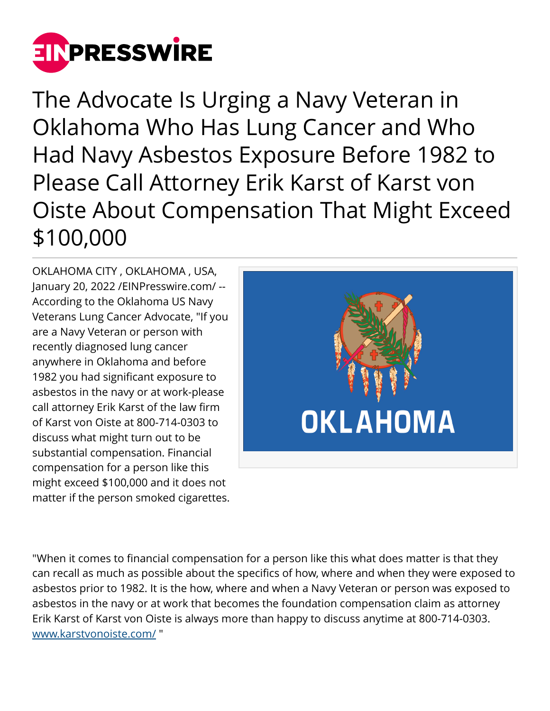

The Advocate Is Urging a Navy Veteran in Oklahoma Who Has Lung Cancer and Who Had Navy Asbestos Exposure Before 1982 to Please Call Attorney Erik Karst of Karst von Oiste About Compensation That Might Exceed \$100,000

OKLAHOMA CITY , OKLAHOMA , USA, January 20, 2022 /[EINPresswire.com](http://www.einpresswire.com)/ -- According to the Oklahoma US Navy Veterans Lung Cancer Advocate, "If you are a Navy Veteran or person with recently diagnosed lung cancer anywhere in Oklahoma and before 1982 you had significant exposure to asbestos in the navy or at work-please call attorney Erik Karst of the law firm of Karst von Oiste at 800-714-0303 to discuss what might turn out to be substantial compensation. Financial compensation for a person like this might exceed \$100,000 and it does not matter if the person smoked cigarettes.



"When it comes to financial compensation for a person like this what does matter is that they can recall as much as possible about the specifics of how, where and when they were exposed to asbestos prior to 1982. It is the how, where and when a Navy Veteran or person was exposed to asbestos in the navy or at work that becomes the foundation compensation claim as attorney Erik Karst of Karst von Oiste is always more than happy to discuss anytime at 800-714-0303. [www.karstvonoiste.com/](http://www.karstvonoiste.com/) "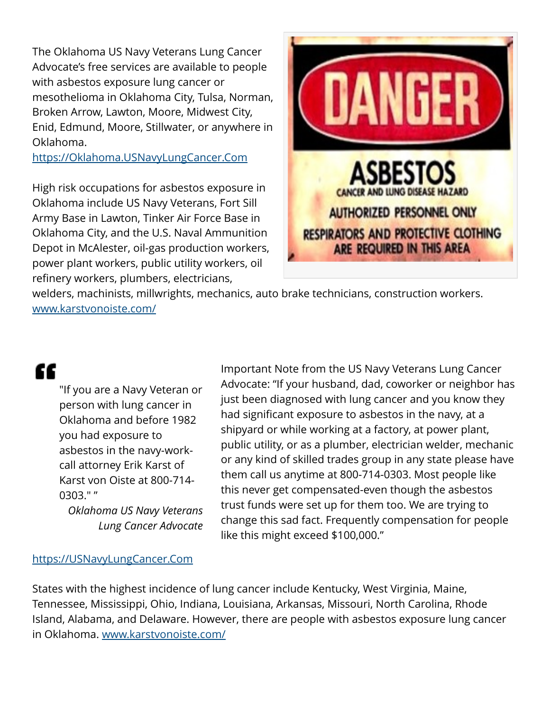The Oklahoma US Navy Veterans Lung Cancer Advocate's free services are available to people with asbestos exposure lung cancer or mesothelioma in Oklahoma City, Tulsa, Norman, Broken Arrow, Lawton, Moore, Midwest City, Enid, Edmund, Moore, Stillwater, or anywhere in Oklahoma.

<https://Oklahoma.USNavyLungCancer.Com>

High risk occupations for asbestos exposure in Oklahoma include US Navy Veterans, Fort Sill Army Base in Lawton, Tinker Air Force Base in Oklahoma City, and the U.S. Naval Ammunition Depot in McAlester, oil-gas production workers, power plant workers, public utility workers, oil refinery workers, plumbers, electricians,



welders, machinists, millwrights, mechanics, auto brake technicians, construction workers. [www.karstvonoiste.com/](http://www.karstvonoiste.com/)

## "

"If you are a Navy Veteran or person with lung cancer in Oklahoma and before 1982 you had exposure to asbestos in the navy-workcall attorney Erik Karst of Karst von Oiste at 800-714- 0303." "

*Oklahoma US Navy Veterans Lung Cancer Advocate*

Important Note from the US Navy Veterans Lung Cancer Advocate: "If your husband, dad, coworker or neighbor has just been diagnosed with lung cancer and you know they had significant exposure to asbestos in the navy, at a shipyard or while working at a factory, at power plant, public utility, or as a plumber, electrician welder, mechanic or any kind of skilled trades group in any state please have them call us anytime at 800-714-0303. Most people like this never get compensated-even though the asbestos trust funds were set up for them too. We are trying to change this sad fact. Frequently compensation for people like this might exceed \$100,000."

## <https://USNavyLungCancer.Com>

States with the highest incidence of lung cancer include Kentucky, West Virginia, Maine, Tennessee, Mississippi, Ohio, Indiana, Louisiana, Arkansas, Missouri, North Carolina, Rhode Island, Alabama, and Delaware. However, there are people with asbestos exposure lung cancer in Oklahoma. [www.karstvonoiste.com/](http://www.karstvonoiste.com/)